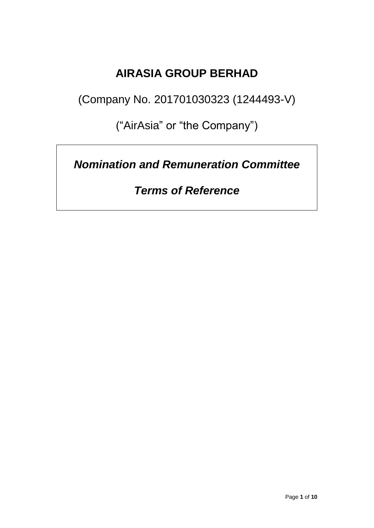## **AIRASIA GROUP BERHAD**

(Company No. 201701030323 (1244493-V)

("AirAsia" or "the Company")

*Nomination and Remuneration Committee*

*Terms of Reference*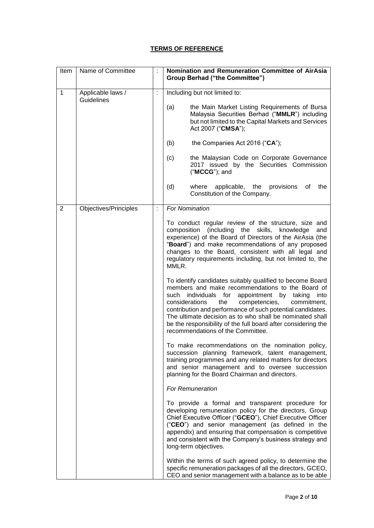## **TERMS OF REFERENCE**

| Item         | Name of Committee                      |   | Nomination and Remuneration Committee of AirAsia<br><b>Group Berhad ("the Committee")</b>                                                                                                                                                                                                                                                                                                                                                                       |
|--------------|----------------------------------------|---|-----------------------------------------------------------------------------------------------------------------------------------------------------------------------------------------------------------------------------------------------------------------------------------------------------------------------------------------------------------------------------------------------------------------------------------------------------------------|
| $\mathbf{1}$ | Applicable laws /<br><b>Guidelines</b> |   | Including but not limited to:                                                                                                                                                                                                                                                                                                                                                                                                                                   |
|              |                                        |   | (a)<br>the Main Market Listing Requirements of Bursa<br>Malaysia Securities Berhad ("MMLR") including<br>but not limited to the Capital Markets and Services<br>Act 2007 ("CMSA");                                                                                                                                                                                                                                                                              |
|              |                                        |   | (b)<br>the Companies Act 2016 ("CA");                                                                                                                                                                                                                                                                                                                                                                                                                           |
|              |                                        |   | the Malaysian Code on Corporate Governance<br>(c)<br>2017 issued by the Securities Commission<br>("MCCG"); and                                                                                                                                                                                                                                                                                                                                                  |
|              |                                        |   | (d)<br>applicable, the<br>provisions<br>the<br>where<br>οf<br>Constitution of the Company.                                                                                                                                                                                                                                                                                                                                                                      |
| 2            | Objectives/Principles                  | ł | <b>For Nomination</b>                                                                                                                                                                                                                                                                                                                                                                                                                                           |
|              |                                        |   | To conduct regular review of the structure, size and<br>composition (including the skills, knowledge<br>and<br>experience) of the Board of Directors of the AirAsia (the<br>"Board") and make recommendations of any proposed<br>changes to the Board, consistent with all legal and<br>regulatory requirements including, but not limited to, the<br>MMLR.                                                                                                     |
|              |                                        |   | To identify candidates suitably qualified to become Board<br>members and make recommendations to the Board of<br>such individuals for<br>appointment by taking<br>into<br>competencies,<br>considerations<br>the<br>commitment,<br>contribution and performance of such potential candidates.<br>The ultimate decision as to who shall be nominated shall<br>be the responsibility of the full board after considering the<br>recommendations of the Committee. |
|              |                                        |   | To make recommendations on the nomination policy,<br>succession planning framework, talent management,<br>training programmes and any related matters for directors<br>and senior management and to oversee succession<br>planning for the Board Chairman and directors.                                                                                                                                                                                        |
|              |                                        |   | <b>For Remuneration</b>                                                                                                                                                                                                                                                                                                                                                                                                                                         |
|              |                                        |   | To provide a formal and transparent procedure for<br>developing remuneration policy for the directors, Group<br>Chief Executive Officer ("GCEO"), Chief Executive Officer<br>("CEO") and senior management (as defined in the<br>appendix) and ensuring that compensation is competitive<br>and consistent with the Company's business strategy and<br>long-term objectives.                                                                                    |
|              |                                        |   | Within the terms of such agreed policy, to determine the<br>specific remuneration packages of all the directors, GCEO,<br>CEO and senior management with a balance as to be able                                                                                                                                                                                                                                                                                |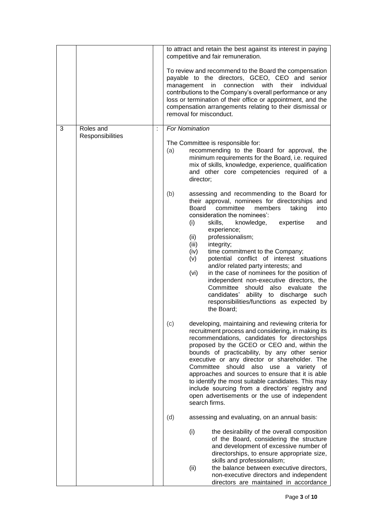|   |                               |   | to attract and retain the best against its interest in paying<br>competitive and fair remuneration.                                                                                                                                                                                                                                                                                                                                                                                                                                                                                                                                                                                                 |
|---|-------------------------------|---|-----------------------------------------------------------------------------------------------------------------------------------------------------------------------------------------------------------------------------------------------------------------------------------------------------------------------------------------------------------------------------------------------------------------------------------------------------------------------------------------------------------------------------------------------------------------------------------------------------------------------------------------------------------------------------------------------------|
|   |                               |   | To review and recommend to the Board the compensation<br>payable to the directors, GCEO, CEO and senior<br>connection<br>with<br>their<br>management in<br>individual<br>contributions to the Company's overall performance or any<br>loss or termination of their office or appointment, and the<br>compensation arrangements relating to their dismissal or<br>removal for misconduct.                                                                                                                                                                                                                                                                                                            |
| 3 | Roles and<br>Responsibilities | ÷ | For Nomination                                                                                                                                                                                                                                                                                                                                                                                                                                                                                                                                                                                                                                                                                      |
|   |                               |   | The Committee is responsible for:<br>recommending to the Board for approval, the<br>(a)<br>minimum requirements for the Board, i.e. required<br>mix of skills, knowledge, experience, qualification<br>and other core competencies required of a<br>director;                                                                                                                                                                                                                                                                                                                                                                                                                                       |
|   |                               |   | (b)<br>assessing and recommending to the Board for<br>their approval, nominees for directorships and<br>Board<br>committee<br>members<br>taking<br>into<br>consideration the nominees':<br>skills,<br>(i)<br>knowledge,<br>expertise<br>and<br>experience;<br>professionalism;<br>(ii)<br>(iii)<br>integrity;<br>(iv)<br>time commitment to the Company;<br>potential conflict of interest situations<br>(v)<br>and/or related party interests; and<br>in the case of nominees for the position of<br>(vi)<br>independent non-executive directors, the<br>Committee should also evaluate the<br>candidates'<br>ability to discharge such<br>responsibilities/functions as expected by<br>the Board; |
|   |                               |   | developing, maintaining and reviewing criteria for<br>(c)<br>recruitment process and considering, in making its<br>recommendations, candidates for directorships<br>proposed by the GCEO or CEO and, within the<br>bounds of practicability, by any other senior<br>executive or any director or shareholder. The<br>Committee<br>should also use a variety<br>0t<br>approaches and sources to ensure that it is able<br>to identify the most suitable candidates. This may<br>include sourcing from a directors' registry and<br>open advertisements or the use of independent<br>search firms.                                                                                                    |
|   |                               |   | (d)<br>assessing and evaluating, on an annual basis:                                                                                                                                                                                                                                                                                                                                                                                                                                                                                                                                                                                                                                                |
|   |                               |   | (i)<br>the desirability of the overall composition<br>of the Board, considering the structure<br>and development of excessive number of<br>directorships, to ensure appropriate size,<br>skills and professionalism;<br>(ii)<br>the balance between executive directors,<br>non-executive directors and independent<br>directors are maintained in accordance                                                                                                                                                                                                                                                                                                                                       |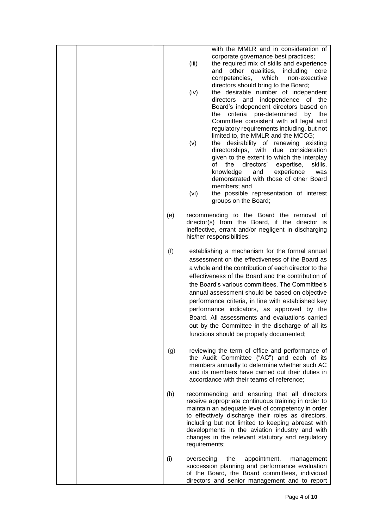|  |     | with the MMLR and in consideration of<br>corporate governance best practices;<br>(iii)<br>the required mix of skills and experience<br>other qualities, including<br>and<br>core<br>competencies,<br>which<br>non-executive<br>directors should bring to the Board;<br>(iv)<br>the desirable number of independent<br>directors and independence of the<br>Board's independent directors based on<br>criteria pre-determined<br>the<br>by the                                                                                                                              |
|--|-----|----------------------------------------------------------------------------------------------------------------------------------------------------------------------------------------------------------------------------------------------------------------------------------------------------------------------------------------------------------------------------------------------------------------------------------------------------------------------------------------------------------------------------------------------------------------------------|
|  |     | Committee consistent with all legal and<br>regulatory requirements including, but not<br>limited to, the MMLR and the MCCG;<br>the desirability of renewing existing<br>(v)<br>directorships, with<br>due consideration<br>given to the extent to which the interplay<br>directors'<br>of<br>skills,<br>the<br>expertise,<br>knowledge<br>and<br>experience<br>was<br>demonstrated with those of other Board<br>members; and                                                                                                                                               |
|  |     | (vi)<br>the possible representation of interest<br>groups on the Board;                                                                                                                                                                                                                                                                                                                                                                                                                                                                                                    |
|  | (e) | recommending to the Board the removal of<br>director(s) from the Board, if the director is<br>ineffective, errant and/or negligent in discharging<br>his/her responsibilities;                                                                                                                                                                                                                                                                                                                                                                                             |
|  | (f) | establishing a mechanism for the formal annual<br>assessment on the effectiveness of the Board as<br>a whole and the contribution of each director to the<br>effectiveness of the Board and the contribution of<br>the Board's various committees. The Committee's<br>annual assessment should be based on objective<br>performance criteria, in line with established key<br>performance indicators, as approved by the<br>Board. All assessments and evaluations carried<br>out by the Committee in the discharge of all its<br>functions should be properly documented; |
|  | (g) | reviewing the term of office and performance of<br>the Audit Committee ("AC") and each of its<br>members annually to determine whether such AC<br>and its members have carried out their duties in<br>accordance with their teams of reference;                                                                                                                                                                                                                                                                                                                            |
|  | (h) | recommending and ensuring that all directors<br>receive appropriate continuous training in order to<br>maintain an adequate level of competency in order<br>to effectively discharge their roles as directors,<br>including but not limited to keeping abreast with<br>developments in the aviation industry and with<br>changes in the relevant statutory and regulatory<br>requirements;                                                                                                                                                                                 |
|  | (i) | overseeing<br>the<br>appointment,<br>management<br>succession planning and performance evaluation<br>of the Board, the Board committees, individual<br>directors and senior management and to report                                                                                                                                                                                                                                                                                                                                                                       |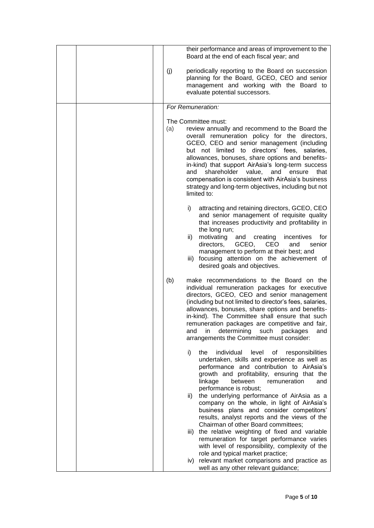|           | their performance and areas of improvement to the<br>Board at the end of each fiscal year; and                                                                                                                                                                                                                                                                                                                                                                                                                        |
|-----------|-----------------------------------------------------------------------------------------------------------------------------------------------------------------------------------------------------------------------------------------------------------------------------------------------------------------------------------------------------------------------------------------------------------------------------------------------------------------------------------------------------------------------|
| (j)       | periodically reporting to the Board on succession<br>planning for the Board, GCEO, CEO and senior<br>management and working with the Board to<br>evaluate potential successors.                                                                                                                                                                                                                                                                                                                                       |
|           | For Remuneration:                                                                                                                                                                                                                                                                                                                                                                                                                                                                                                     |
| (a)       | The Committee must:<br>review annually and recommend to the Board the<br>overall remuneration policy for the directors,<br>GCEO, CEO and senior management (including<br>but not limited to directors' fees, salaries,<br>allowances, bonuses, share options and benefits-<br>in-kind) that support AirAsia's long-term success<br>shareholder<br>value,<br>and<br>that<br>and<br>ensure<br>compensation is consistent with AirAsia's business<br>strategy and long-term objectives, including but not<br>limited to: |
| i)        | attracting and retaining directors, GCEO, CEO<br>and senior management of requisite quality<br>that increases productivity and profitability in<br>the long run;<br>motivating<br>creating<br>incentives<br>for<br>ii)<br>and<br>GCEO,<br>CEO<br>directors,<br>senior<br>and<br>management to perform at their best; and<br>focusing attention on the achievement of<br>iii)<br>desired goals and objectives.                                                                                                         |
| (b)       | make recommendations to the Board on the<br>individual remuneration packages for executive<br>directors, GCEO, CEO and senior management<br>(including but not limited to director's fees, salaries,<br>allowances, bonuses, share options and benefits-<br>in-kind). The Committee shall ensure that such<br>remuneration packages are competitive and fair,<br>determining<br>such packages<br>and<br>in<br>and<br>arrangements the Committee must consider:                                                        |
| i)<br>ii) | the<br>individual<br>level<br>of<br>responsibilities<br>undertaken, skills and experience as well as<br>performance and contribution to AirAsia's<br>growth and profitability, ensuring that the<br>linkage<br>between<br>remuneration<br>and<br>performance is robust;<br>the underlying performance of AirAsia as a<br>company on the whole, in light of AirAsia's                                                                                                                                                  |
|           | business plans and consider competitors'<br>results, analyst reports and the views of the<br>Chairman of other Board committees;<br>the relative weighting of fixed and variable<br>iii)<br>remuneration for target performance varies<br>with level of responsibility, complexity of the<br>role and typical market practice;                                                                                                                                                                                        |
|           | iv) relevant market comparisons and practice as<br>well as any other relevant guidance;                                                                                                                                                                                                                                                                                                                                                                                                                               |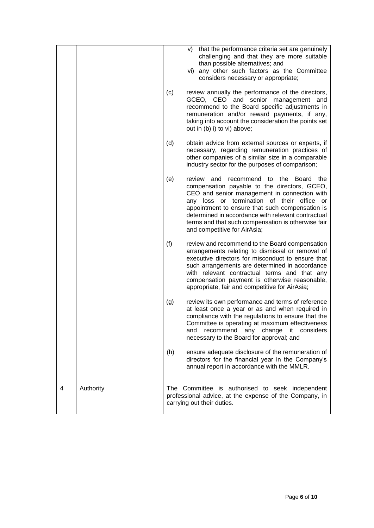| 4 | Authority |     | The Committee is authorised to seek independent<br>professional advice, at the expense of the Company, in<br>carrying out their duties.                                                                                                                                                                                                                                                              |
|---|-----------|-----|------------------------------------------------------------------------------------------------------------------------------------------------------------------------------------------------------------------------------------------------------------------------------------------------------------------------------------------------------------------------------------------------------|
|   |           | (h) | ensure adequate disclosure of the remuneration of<br>directors for the financial year in the Company's<br>annual report in accordance with the MMLR.                                                                                                                                                                                                                                                 |
|   |           | (g) | review its own performance and terms of reference<br>at least once a year or as and when required in<br>compliance with the regulations to ensure that the<br>Committee is operating at maximum effectiveness<br>and recommend any change it considers<br>necessary to the Board for approval; and                                                                                                   |
|   |           | (f) | review and recommend to the Board compensation<br>arrangements relating to dismissal or removal of<br>executive directors for misconduct to ensure that<br>such arrangements are determined in accordance<br>with relevant contractual terms and that any<br>compensation payment is otherwise reasonable,<br>appropriate, fair and competitive for AirAsia;                                         |
|   |           | (e) | review<br>the<br>and<br>recommend<br>Board the<br>to<br>compensation payable to the directors, GCEO,<br>CEO and senior management in connection with<br>any loss or termination of their office<br>or<br>appointment to ensure that such compensation is<br>determined in accordance with relevant contractual<br>terms and that such compensation is otherwise fair<br>and competitive for AirAsia; |
|   |           | (d) | obtain advice from external sources or experts, if<br>necessary, regarding remuneration practices of<br>other companies of a similar size in a comparable<br>industry sector for the purposes of comparison;                                                                                                                                                                                         |
|   |           | (c) | review annually the performance of the directors,<br>GCEO, CEO and senior management and<br>recommend to the Board specific adjustments in<br>remuneration and/or reward payments, if any,<br>taking into account the consideration the points set<br>out in (b) i) to vi) above;                                                                                                                    |
|   |           |     | that the performance criteria set are genuinely<br>V)<br>challenging and that they are more suitable<br>than possible alternatives; and<br>vi) any other such factors as the Committee<br>considers necessary or appropriate;                                                                                                                                                                        |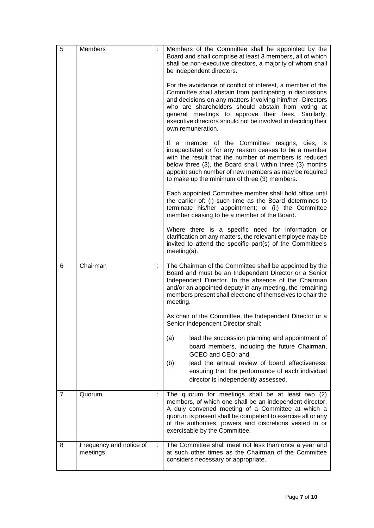| 5              | Members                             | Members of the Committee shall be appointed by the<br>Board and shall comprise at least 3 members, all of which<br>shall be non-executive directors, a majority of whom shall<br>be independent directors.                                                                                                                                                                               |
|----------------|-------------------------------------|------------------------------------------------------------------------------------------------------------------------------------------------------------------------------------------------------------------------------------------------------------------------------------------------------------------------------------------------------------------------------------------|
|                |                                     | For the avoidance of conflict of interest, a member of the<br>Committee shall abstain from participating in discussions<br>and decisions on any matters involving him/her. Directors<br>who are shareholders should abstain from voting at<br>general meetings to approve their fees.<br>Similarly,<br>executive directors should not be involved in deciding their<br>own remuneration. |
|                |                                     | If a member of the Committee resigns, dies, is<br>incapacitated or for any reason ceases to be a member<br>with the result that the number of members is reduced<br>below three (3), the Board shall, within three (3) months<br>appoint such number of new members as may be required<br>to make up the minimum of three (3) members.                                                   |
|                |                                     | Each appointed Committee member shall hold office until<br>the earlier of: (i) such time as the Board determines to<br>terminate his/her appointment; or (ii) the Committee<br>member ceasing to be a member of the Board.                                                                                                                                                               |
|                |                                     | Where there is a specific need for information or<br>clarification on any matters, the relevant employee may be<br>invited to attend the specific part(s) of the Committee's<br>$meeting(s)$ .                                                                                                                                                                                           |
| 6              | Chairman                            | The Chairman of the Committee shall be appointed by the<br>Board and must be an Independent Director or a Senior<br>Independent Director. In the absence of the Chairman<br>and/or an appointed deputy in any meeting, the remaining<br>members present shall elect one of themselves to chair the<br>meeting.                                                                           |
|                |                                     | As chair of the Committee, the Independent Director or a<br>Senior Independent Director shall:                                                                                                                                                                                                                                                                                           |
|                |                                     | lead the succession planning and appointment of<br>(a)<br>board members, including the future Chairman,<br>GCEO and CEO; and                                                                                                                                                                                                                                                             |
|                |                                     | lead the annual review of board effectiveness,<br>(b)<br>ensuring that the performance of each individual<br>director is independently assessed.                                                                                                                                                                                                                                         |
| $\overline{7}$ | Quorum                              | The quorum for meetings shall be at least two (2)<br>members, of which one shall be an independent director.<br>A duly convened meeting of a Committee at which a<br>quorum is present shall be competent to exercise all or any<br>of the authorities, powers and discretions vested in or<br>exercisable by the Committee.                                                             |
| 8              | Frequency and notice of<br>meetings | The Committee shall meet not less than once a year and<br>at such other times as the Chairman of the Committee<br>considers necessary or appropriate.                                                                                                                                                                                                                                    |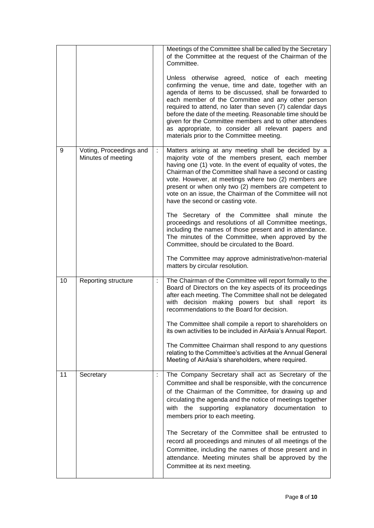|    |                                               |   | Meetings of the Committee shall be called by the Secretary<br>of the Committee at the request of the Chairman of the<br>Committee.                                                                                                                                                                                                                                                                                                                                                                              |
|----|-----------------------------------------------|---|-----------------------------------------------------------------------------------------------------------------------------------------------------------------------------------------------------------------------------------------------------------------------------------------------------------------------------------------------------------------------------------------------------------------------------------------------------------------------------------------------------------------|
|    |                                               |   | Unless otherwise agreed, notice of each meeting<br>confirming the venue, time and date, together with an<br>agenda of items to be discussed, shall be forwarded to<br>each member of the Committee and any other person<br>required to attend, no later than seven (7) calendar days<br>before the date of the meeting. Reasonable time should be<br>given for the Committee members and to other attendees<br>as appropriate, to consider all relevant papers and<br>materials prior to the Committee meeting. |
| 9  | Voting, Proceedings and<br>Minutes of meeting | ÷ | Matters arising at any meeting shall be decided by a<br>majority vote of the members present, each member<br>having one (1) vote. In the event of equality of votes, the<br>Chairman of the Committee shall have a second or casting<br>vote. However, at meetings where two (2) members are<br>present or when only two (2) members are competent to<br>vote on an issue, the Chairman of the Committee will not<br>have the second or casting vote.                                                           |
|    |                                               |   | The Secretary of the Committee shall minute the<br>proceedings and resolutions of all Committee meetings,<br>including the names of those present and in attendance.<br>The minutes of the Committee, when approved by the<br>Committee, should be circulated to the Board.                                                                                                                                                                                                                                     |
|    |                                               |   | The Committee may approve administrative/non-material<br>matters by circular resolution.                                                                                                                                                                                                                                                                                                                                                                                                                        |
| 10 | Reporting structure                           |   | The Chairman of the Committee will report formally to the<br>Board of Directors on the key aspects of its proceedings<br>after each meeting. The Committee shall not be delegated<br>with decision making powers but shall report its<br>recommendations to the Board for decision.                                                                                                                                                                                                                             |
|    |                                               |   | The Committee shall compile a report to shareholders on<br>its own activities to be included in AirAsia's Annual Report.                                                                                                                                                                                                                                                                                                                                                                                        |
|    |                                               |   | The Committee Chairman shall respond to any questions<br>relating to the Committee's activities at the Annual General<br>Meeting of AirAsia's shareholders, where required.                                                                                                                                                                                                                                                                                                                                     |
| 11 | Secretary                                     | ÷ | The Company Secretary shall act as Secretary of the<br>Committee and shall be responsible, with the concurrence<br>of the Chairman of the Committee, for drawing up and<br>circulating the agenda and the notice of meetings together<br>with the supporting explanatory documentation to<br>members prior to each meeting.                                                                                                                                                                                     |
|    |                                               |   | The Secretary of the Committee shall be entrusted to<br>record all proceedings and minutes of all meetings of the<br>Committee, including the names of those present and in<br>attendance. Meeting minutes shall be approved by the<br>Committee at its next meeting.                                                                                                                                                                                                                                           |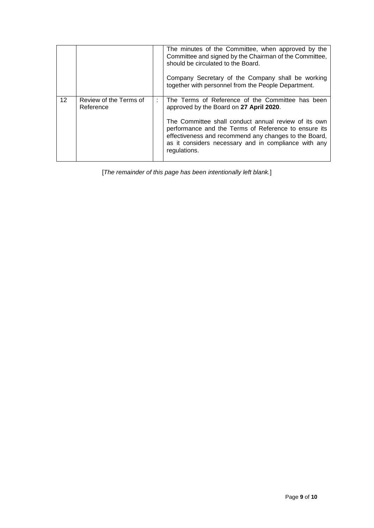|    |                                     |   | The minutes of the Committee, when approved by the<br>Committee and signed by the Chairman of the Committee,<br>should be circulated to the Board.<br>Company Secretary of the Company shall be working<br>together with personnel from the People Department.                                                                               |
|----|-------------------------------------|---|----------------------------------------------------------------------------------------------------------------------------------------------------------------------------------------------------------------------------------------------------------------------------------------------------------------------------------------------|
| 12 | Review of the Terms of<br>Reference | ÷ | The Terms of Reference of the Committee has been<br>approved by the Board on 27 April 2020.<br>The Committee shall conduct annual review of its own<br>performance and the Terms of Reference to ensure its<br>effectiveness and recommend any changes to the Board,<br>as it considers necessary and in compliance with any<br>regulations. |

[*The remainder of this page has been intentionally left blank.*]